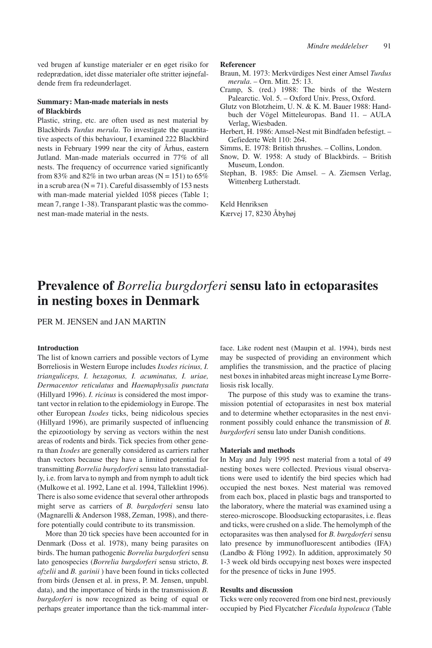ved brugen af kunstige materialer er en øget risiko for redeprædation, idet disse materialer ofte stritter iøjnefaldende frem fra redeunderlaget.

### **Summary: Man-made materials in nests of Blackbirds**

Plastic, string, etc. are often used as nest material by Blackbirds *Turdus merula*. To investigate the quantitative aspects of this behaviour, I examined 222 Blackbird nests in February 1999 near the city of Århus, eastern Jutland. Man-made materials occurred in 77% of all nests. The frequency of occurrence varied significantly from 83% and 82% in two urban areas ( $N = 151$ ) to 65% in a scrub area  $(N = 71)$ . Careful disassembly of 153 nests with man-made material yielded 1058 pieces (Table 1; mean 7, range 1-38). Transparant plastic was the commonest man-made material in the nests.

#### **Referencer**

- Braun, M. 1973: Merkvürdiges Nest einer Amsel *Turdus merula*. – Orn. Mitt. 25: 13.
- Cramp, S. (red.) 1988: The birds of the Western Palearctic. Vol. 5. – Oxford Univ. Press, Oxford.
- Glutz von Blotzheim, U. N. & K. M. Bauer 1988: Handbuch der Vögel Mitteleuropas. Band 11. – AULA Verlag, Wiesbaden.
- Herbert, H. 1986: Amsel-Nest mit Bindfaden befestigt. Gefiederte Welt 110: 264.
- Simms, E. 1978: British thrushes. Collins, London.
- Snow, D. W. 1958: A study of Blackbirds. British Museum, London.
- Stephan, B. 1985: Die Amsel. A. Ziemsen Verlag, Wittenberg Lutherstadt.

Keld Henriksen Kærvej 17, 8230 Åbyhøj

# **Prevalence of** *Borrelia burgdorferi* **sensu lato in ectoparasites in nesting boxes in Denmark**

PER M. JENSEN and JAN MARTIN

# **Introduction**

The list of known carriers and possible vectors of Lyme Borreliosis in Western Europe includes *Ixodes ricinus, I. trianguliceps, I. hexagonus, I. acuminatus, I. uriae, Dermacentor reticulatus* and *Haemaphysalis punctata* (Hillyard 1996). *I. ricinus* is considered the most important vector in relation to the epidemiology in Europe. The other European *Ixodes* ticks, being nidicolous species (Hillyard 1996), are primarily suspected of influencing the epizootiology by serving as vectors within the nest areas of rodents and birds. Tick species from other genera than *Ixodes* are generally considered as carriers rather than vectors because they have a limited potential for transmitting *Borrelia burgdorferi* sensu lato transstadially, i.e. from larva to nymph and from nymph to adult tick (Mulkowe et al. 1992, Lane et al. 1994, Tälleklint 1996). There is also some evidence that several other arthropods might serve as carriers of *B. burgdorferi* sensu lato (Magnarelli & Anderson 1988, Zeman, 1998), and therefore potentially could contribute to its transmission.

More than 20 tick species have been accounted for in Denmark (Doss et al. 1978), many being parasites on birds. The human pathogenic *Borrelia burgdorferi* sensu lato genospecies (*Borrelia burgdorferi* sensu stricto, *B. afzelii* and *B. garinii* ) have been found in ticks collected from birds (Jensen et al. in press, P. M. Jensen, unpubl. data), and the importance of birds in the transmission *B. burgdorferi* is now recognized as being of equal or perhaps greater importance than the tick-mammal interface. Like rodent nest (Maupin et al. 1994), birds nest may be suspected of providing an environment which amplifies the transmission, and the practice of placing nest boxes in inhabited areas might increase Lyme Borreliosis risk locally.

The purpose of this study was to examine the transmission potential of ectoparasites in nest box material and to determine whether ectoparasites in the nest environment possibly could enhance the transmission of *B. burgdorferi* sensu lato under Danish conditions.

#### **Materials and methods**

In May and July 1995 nest material from a total of 49 nesting boxes were collected. Previous visual observations were used to identify the bird species which had occupied the nest boxes. Nest material was removed from each box, placed in plastic bags and transported to the laboratory, where the material was examined using a stereo-microscope. Bloodsucking ectoparasites, i.e. fleas and ticks, were crushed on a slide. The hemolymph of the ectoparasites was then analysed for *B. burgdorferi* sensu lato presence by immunofluorescent antibodies (IFA) (Landbo & Flöng 1992). In addition, approximately 50 1-3 week old birds occupying nest boxes were inspected for the presence of ticks in June 1995.

# **Results and discussion**

Ticks were only recovered from one bird nest, previously occupied by Pied Flycatcher *Ficedula hypoleuca* (Table